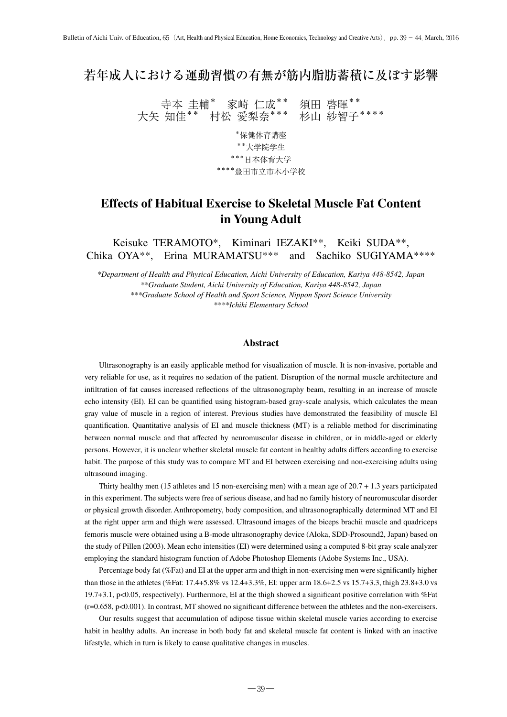# 若年成人における運動習慣の有無が筋内脂肪蓄積に及ぼす影響

寺本 圭輔\* 家崎 仁成\*\* 須田 啓暉\*\* 大矢 知佳\*\* 村松 愛梨奈\*\*\* 杉山 紗智子\*\*\*\*

> \*保健体育講座 \*\*大学院学生 \*\*\*日本体育大学 \*\*\*\*豊田市立市木小学校

# **Effects of Habitual Exercise to Skeletal Muscle Fat Content in Young Adult**

Keisuke TERAMOTO\*, Kiminari IEZAKI\*\*, Keiki SUDA\*\*, Chika OYA\*\*, Erina MURAMATSU\*\*\* and Sachiko SUGIYAMA\*\*\*\*

*\*Department of Health and Physical Education, Aichi University of Education, Kariya 448-8542, Japan \*\*Graduate Student, Aichi University of Education, Kariya 448-8542, Japan \*\*\*Graduate School of Health and Sport Science, Nippon Sport Science University \*\*\*\*Ichiki Elementary School*

## **Abstract**

Ultrasonography is an easily applicable method for visualization of muscle. It is non-invasive, portable and very reliable for use, as it requires no sedation of the patient. Disruption of the normal muscle architecture and infiltration of fat causes increased reflections of the ultrasonography beam, resulting in an increase of muscle echo intensity (EI). EI can be quantified using histogram-based gray-scale analysis, which calculates the mean gray value of muscle in a region of interest. Previous studies have demonstrated the feasibility of muscle EI quantification. Quantitative analysis of EI and muscle thickness (MT) is a reliable method for discriminating between normal muscle and that affected by neuromuscular disease in children, or in middle-aged or elderly persons. However, it is unclear whether skeletal muscle fat content in healthy adults differs according to exercise habit. The purpose of this study was to compare MT and EI between exercising and non-exercising adults using ultrasound imaging.

Thirty healthy men (15 athletes and 15 non-exercising men) with a mean age of 20.7 + 1.3 years participated in this experiment. The subjects were free of serious disease, and had no family history of neuromuscular disorder or physical growth disorder. Anthropometry, body composition, and ultrasonographically determined MT and EI at the right upper arm and thigh were assessed. Ultrasound images of the biceps brachii muscle and quadriceps femoris muscle were obtained using a B-mode ultrasonography device (Aloka, SDD-Prosound2, Japan) based on the study of Pillen (2003). Mean echo intensities (EI) were determined using a computed 8-bit gray scale analyzer employing the standard histogram function of Adobe Photoshop Elements (Adobe Systems Inc., USA).

Percentage body fat (%Fat) and EI at the upper arm and thigh in non-exercising men were significantly higher than those in the athletes (%Fat: 17.4+5.8% vs 12.4+3.3%, EI: upper arm 18.6+2.5 vs 15.7+3.3, thigh 23.8+3.0 vs 19.7+3.1, p<0.05, respectively). Furthermore, EI at the thigh showed a significant positive correlation with %Fat (r=0.658, p<0.001). In contrast, MT showed no significant difference between the athletes and the non-exercisers.

Our results suggest that accumulation of adipose tissue within skeletal muscle varies according to exercise habit in healthy adults. An increase in both body fat and skeletal muscle fat content is linked with an inactive lifestyle, which in turn is likely to cause qualitative changes in muscles.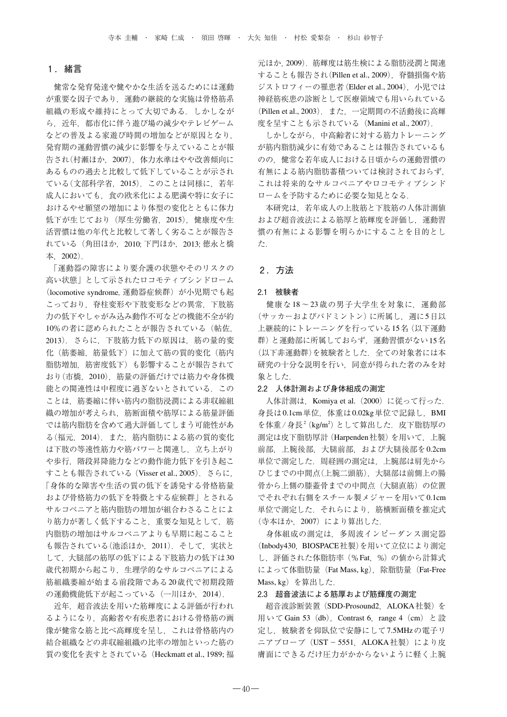## 1. 緒言

 健常な発育発達や健やかな生活を送るためには運動 が重要な因子であり,運動の継続的な実施は骨格筋系 組織の形成や維持にとって大切である. しかしなが ら,近年,都市化に伴う遊び場の減少やテレビゲーム などの普及よる家遊び時間の増加などが原因となり, 発育期の運動習慣の減少に影響を与えていることが報 告され(村瀬ほか,2007),体力水準はやや改善傾向に あるものの過去と比較して低下していることが示され ている(文部科学省,2015).このことは同様に,若年 成人においても,食の欧米化による肥満や特に女子に おけるやせ願望の増加により体型の変化とともに体力 低下が生じており(厚生労働省,2015),健康度や生 活習慣は他の年代と比較して著しく劣ることが報告さ れている(角田ほか,2010; 下門ほか,2013; 徳永と橋 本,2002).

 「運動器の障害により要介護の状態やそのリスクの 高い状態」として示されたロコモティブシンドローム (locomotive syndrome, 運動器症候群)が小児期でも起 こっており,脊柱変形や下肢変形などの異常,下肢筋 力の低下やしゃがみ込み動作不可などの機能不全が約 10%の者に認められたことが報告されている(帖佐, 2013).さらに,下肢筋力低下の原因は,筋の量的変 化(筋萎縮,筋量低下)に加えて筋の質的変化(筋内 脂肪増加,筋密度低下)も影響することが報告されて おり(市橋,2010),筋量の評価だけでは筋力や身体機 能との関連性は中程度に過ぎないとされている.この ことは、筋萎縮に伴い筋内の脂肪浸潤による非収縮組 織の増加が考えられ,筋断面積や筋厚による筋量評価 では筋内脂肪を含めて過大評価してしまう可能性があ る(福元,2014).また,筋内脂肪による筋の質的変化 は下肢の等速性筋力や筋パワーと関連し、立ち上がり や歩行、階段昇降能力などの動作能力低下を引き起こ すことも報告されている(Visser et al., 2005).さらに, 「身体的な障害や生活の質の低下を誘発する骨格筋量 および骨格筋力の低下を特徴とする症候群」とされる サルコペニアと筋内脂肪の増加が組合わさることによ り筋力が著しく低下すること、重要な知見として、筋 内脂肪の増加はサルコペニアよりも早期に起こること も報告されている(池添ほか, 2011). そして、実状と して,大腿部の筋厚の低下による下肢筋力の低下は30 歳代初期から起こり,生理学的なサルコペニアによる 筋組織萎縮が始まる前段階である20歳代で初期段階 の運動機能低下が起こっている(一川ほか, 2014).

近年、超音波法を用いた筋輝度による評価が行われ るようになり,高齢者や有疾患者における骨格筋の画 像が健常な筋と比べ高輝度を呈し,これは骨格筋内の 結合組織などの非収縮組織の比率の増加といった筋の 質の変化を表すとされている(Heckmatt et al., 1989; 福 元ほか,2009).筋輝度は筋生検による脂肪浸潤と関連 することも報告され(Pillen et al., 2009),脊髄損傷や筋 ジストロフィーの罹患者 (Elder et al., 2004), 小児では 神経筋疾患の診断として医療領域でも用いられている (Pillen et al., 2003).また,一定期間の不活動後に高輝 度を呈すことも示されている(Manini et al., 2007).

 しかしながら,中高齢者に対する筋力トレーニング が筋内脂肪減少に有効であることは報告されているも のの,健常な若年成人における日頃からの運動習慣の 有無による筋内脂肪蓄積ついては検討されておらず, これは将来的なサルコペニアやロコモティブシンド ロームを予防するために必要な知見となる.

 本研究は,若年成人の上肢筋と下肢筋の人体計測値 および超音波法による筋厚と筋輝度を評価し,運動習 慣の有無による影響を明らかにすることを目的とし た.

## 2 .方法

#### 2.1 被験者

 健康な18~23歳の男子大学生を対象に,運動部 (サッカーおよびバドミントン)に所属し、週に5日以 上継続的にトレーニングを行っている15名(以下運動 群)と運動部に所属しておらず,運動習慣がない15名 (以下非運動群)を被験者とした. 全ての対象者には本 研究の十分な説明を行い,同意が得られた者のみを対 象とした.

#### 2.2 人体計測および身体組成の測定

人体計測は, Komiya et al. (2000) に従って行った. 身長は0.1cm単位,体重は0.02kg単位で記録し,BMI を体重/身長<sup>2</sup> (kg/m<sup>2</sup>) として算出した. 皮下脂肪厚の 測定は皮下脂肪厚計(Harpenden社製)を用いて,上腕 前部,上腕後部,大腿前部,および大腿後部を0.2cm 単位で測定した.周経囲の測定は,上腕部は肩先から ひじまでの中間点(上腕二頭筋),大腿部は前側上の腸 骨から上側の膝蓋骨までの中間点(大腿直筋)の位置 でそれぞれ右側をスチール製メジャーを用いて0.1cm 単位で測定した. それらにより、筋横断面積を推定式 (寺本ほか,2007)により算出した.

 身体組成の測定は,多周波インピーダンス測定器 (Inbody430, BIOSPACE社製)を用いて立位により測定 し,評価された体脂肪率(%Fat,%)の値から計算式 によって体脂肪量 (Fat Mass, kg), 除脂肪量 (Fat-Free Mass, kg)を算出した.

## 2.3 超音波法による筋厚および筋輝度の測定

超音波診断装置 (SDD-Prosound2, ALOKA社製)を 用いて Gain 53 (db), Contrast 6, range 4 (cm) と設 定し,被験者を仰臥位で安静にして7.5MHzの電子リ ニアプローブ (UST-5551, ALOKA社製)により皮 膚面にできるだけ圧力がかからないように軽く上腕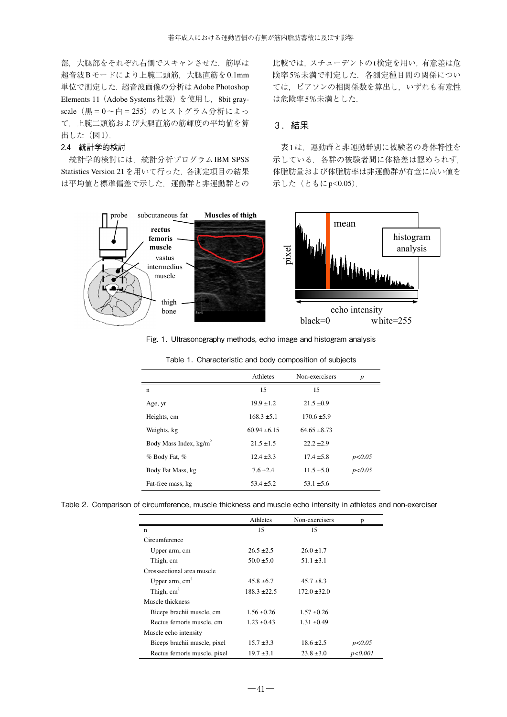部、大腿部をそれぞれ右側でスキャンさせた.筋厚は 超音波Bモードにより上腕二頭筋,大腿直筋を0.1mm 単位で測定した. 超音波画像の分析は Adobe Photoshop Elements 11 (Adobe Systems社製)を使用し, 8bit grayscale (黒=0~白=255)のヒストグラム分析によっ て,上腕二頭筋および大腿直筋の筋輝度の平均値を算 出した (図1).

## 2.4 統計学的検討

統計学的検討には、統計分析プログラムIBM SPSS Statistics Version 21を用いて行った.各測定項目の結果 は平均値と標準偏差で示した.運動群と非運動群との 比較では,スチューデントのt検定を用い,有意差は危 険率5%未満で判定した.各測定種目間の関係につい ては,ピアソンの相関係数を算出し,いずれも有意性 は危険率5%未満とした.

# 3 .結果

 表1は,運動群と非運動群別に被験者の身体特性を 示している. 各群の被験者間に体格差は認められず, 体脂肪量および体脂肪率は非運動群が有意に高い値を 示した (ともにp<0.05).



Fig. 1. Ultrasonography methods, echo image and histogram analysis

|                          | Athletes         | Non-exercisers   | p        |
|--------------------------|------------------|------------------|----------|
| n                        | 15               | 15               |          |
| Age, yr                  | $19.9 \pm 1.2$   | $21.5 \pm 0.9$   |          |
| Heights, cm              | $168.3 \pm 5.1$  | $170.6 \pm 5.9$  |          |
| Weights, kg              | $60.94 \pm 6.15$ | $64.65 \pm 8.73$ |          |
| Body Mass Index, $kg/m2$ | $21.5 \pm 1.5$   | $22.2 \pm 2.9$   |          |
| % Body Fat, %            | $12.4 \pm 3.3$   | $17.4 \pm 5.8$   | p < 0.05 |
| Body Fat Mass, kg        | $7.6 \pm 2.4$    | $11.5 \pm 5.0$   | p < 0.05 |
| Fat-free mass, kg        | $53.4 \pm 5.2$   | $53.1 \pm 5.6$   |          |

Table 1. Characteristic and body composition of subjects

Table 2. Comparison of circumference, muscle thickness and muscle echo intensity in athletes and non-exerciser

|                              | Athletes         | Non-exercisers   | D         |
|------------------------------|------------------|------------------|-----------|
| $\mathbf n$                  | 15               | 15               |           |
| Circumference                |                  |                  |           |
| Upper arm, cm                | $26.5 \pm 2.5$   | $26.0 \pm 1.7$   |           |
| Thigh, cm                    | $50.0 \pm 5.0$   | $51.1 \pm 3.1$   |           |
| Crosssectional area muscle   |                  |                  |           |
| Upper arm, $cm2$             | $45.8 \pm 6.7$   | $45.7 \pm 8.3$   |           |
| Thigh, $cm2$                 | $188.3 \pm 22.5$ | $172.0 \pm 32.0$ |           |
| Muscle thickness             |                  |                  |           |
| Biceps brachii muscle, cm    | $1.56 \pm 0.26$  | $1.57 \pm 0.26$  |           |
| Rectus femoris muscle, cm    | $1.23 \pm 0.43$  | $1.31 \pm 0.49$  |           |
| Muscle echo intensity        |                  |                  |           |
| Biceps brachii muscle, pixel | $15.7 \pm 3.3$   | $18.6 \pm 2.5$   | p<0.05    |
| Rectus femoris muscle, pixel | $19.7 \pm 3.1$   | $23.8 \pm 3.0$   | p < 0.001 |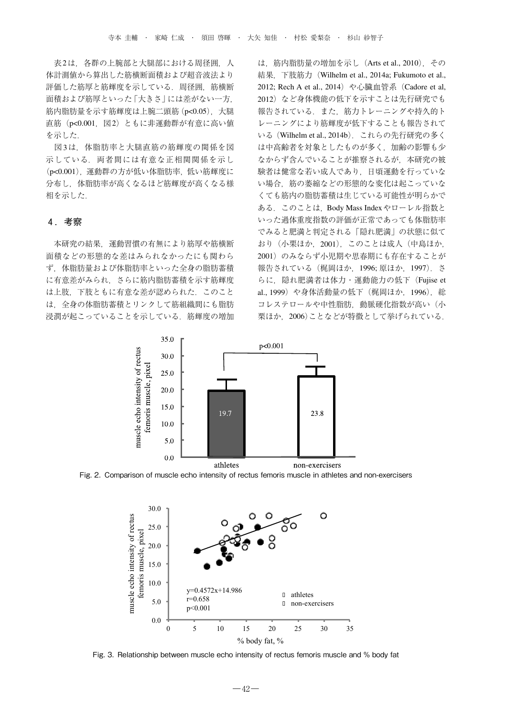表2は、各群の上腕部と大腿部における周径囲, 人 体計測値から算出した筋横断面積および超音波法より 評価した筋厚と筋輝度を示している.周径囲,筋横断 面積および筋厚といった「大きさ」には差がない一方, 筋内脂肪量を示す筋輝度は上腕二頭筋(p<0.05),大腿 直筋(p<0.001, 図2)ともに非運動群が有意に高い値 を示した.

 図3は,体脂肪率と大腿直筋の筋輝度の関係を図 示している. 両者間には有意な正相関関係を示し (p<0.001),運動群の方が低い体脂肪率,低い筋輝度に 分布し,体脂肪率が高くなるほど筋輝度が高くなる様 相を示した.

## 4 .考察

 本研究の結果,運動習慣の有無により筋厚や筋横断 面積などの形態的な差はみられなかったにも関わら ず,体脂肪量および体脂肪率といった全身の脂肪蓄積 に有意差がみられ,さらに筋内脂肪蓄積を示す筋輝度 は上肢,下肢ともに有意な差が認められた.このこと は,全身の体脂肪蓄積とリンクして筋組織間にも脂肪 浸潤が起こっていることを示している.筋輝度の増加 は,筋内脂肪量の増加を示し(Arts et al., 2010),その 結果,下肢筋力(Wilhelm et al., 2014a; Fukumoto et al., 2012; Rech A et al., 2014) や心臓血管系 (Cadore et al, 2012) など身体機能の低下を示すことは先行研究でも 報告されている. また、筋力トレーニングや持久的ト レーニングにより筋輝度が低下することも報告されて いる(Wilhelm et al., 2014b).これらの先行研究の多く は中高齢者を対象としたものが多く,加齢の影響も少 なからず含んでいることが推察されるが,本研究の被 験者は健常な若い成人であり,日頃運動を行っていな い場合,筋の萎縮などの形態的な変化は起こっていな くても筋内の脂肪蓄積は生じている可能性が明らかで ある.このことは,Body Mass Indexやローレル指数と いった過体重度指数の評価が正常であっても体脂肪率 でみると肥満と判定される「隠れ肥満」の状態に似て おり(小栗ほか,2001),このことは成人(中島ほか, 2001)のみならず小児期や思春期にも存在することが 報告されている(梶岡ほか,1996; 原ほか,1997).さ らに、隠れ肥満者は体力·運動能力の低下(Fujise et al., 1999) や身体活動量の低下 (梶岡ほか, 1996), 総 コレステロールや中性脂肪,動脈硬化指数が高い(小 栗ほか. 2006)ことなどが特徴として挙げられている.



Fig. 2. Comparison of muscle echo intensity of rectus femoris muscle in athletes and non-exercisers



Fig. 3. Relationship between muscle echo intensity of rectus femoris muscle and % body fat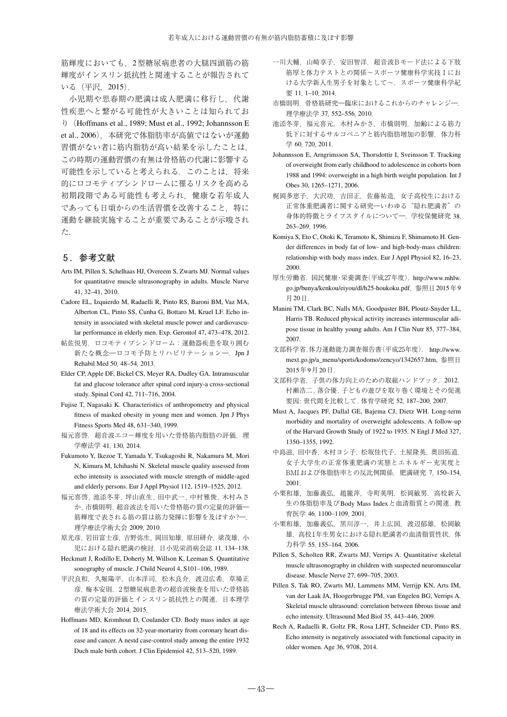筋輝度においても,2型糖尿病患者の大腿四頭筋の筋 輝度がインスリン抵抗性と関連することが報告されて いる(平沢,2015).

 小児期や思春期の肥満は成人肥満に移行し,代謝 性疾患へと繋がる可能性が大きいことは知られてお り(Hoffmans et al., 1989; Must et al., 1992; Johannsson E et al., 2006),本研究で体脂肪率が高値ではないが運動 習慣がない者に筋内脂肪が高い結果を示したことは, この時期の運動習慣の有無は骨格筋の代謝に影響する 可能性を示していると考えられる. このことは、将来 的にロコモティブシンドロームに罹るリスクを高める 初期段階である可能性も考えられ,健康な若年成人 であっても日頃からの生活習慣を改善すること,特に 運動を継続実施することが重要であることが示唆され た.

# 5 .参考文献

- Arts IM, Pillen S, Schelhaas HJ, Overeem S, Zwarts MJ. Normal values for quantitative muscle ultrasonography in adults. Muscle Nurve 41, 32–41, 2010.
- Cadore EL, Izquierdo M, Radaelli R, Pinto RS, Baroni BM, Vaz MA, Alberton CL, Pinto SS, Cunha G, Bottaro M, Kruel LF. Echo intensity in associated with skeletal muscle power and cardiovascular performance in elderly men. Exp. Gerontol 47, 473–478, 2012.
- 帖佐悦男.ロコモティブシンドローム:運動器疾患を取り囲む 新たな概念––ロコモ予防とリハビリテーション–. Jpn J Rehabil Med 50, 48–54, 2013.
- Elder CP, Apple DF, Bickel CS, Meyer RA, Dudley GA. Intramuscular fat and glucose tolerance after spinal cord injury-a cross-sectional study. Spinal Cord 42, 711–716, 2004.
- Fujise T, Nagasaki K. Characteristics of anthropometry and physical fitness of masked obesity in young men and women. Jpn J Phys Fitness Sports Med 48, 631–340, 1999.
- 福元喜啓. 超音波エコー輝度を用いた骨格筋内脂肪の評価. 理 学療法学 41, 130, 2014.
- Fukumoto Y, Ikezoe T, Yamada Y, Tsukagoshi R, Nakamura M, Mori N, Kimura M, Ichihashi N. Skeletal muscle quality assessed from echo intensity is associated with muscle strength of middle-aged and elderly persons. Eur J Appl Physiol 112, 1519–1525, 2012.
- 福元喜啓, 池添冬芽, 坪山直生, 田中武一, 中村雅俊, 木村みさ か, 市橋則明. 超音波法を用いた骨格筋の質の定量的評価― 筋輝度で表される筋の質は筋力発揮に影響を及ぼすか?– 理学療法学術大会 2009, 2010.
- 原光彦,岩田富士彦,吉野弥生,岡田知雄,原田研介,梁茂雄,小 児における隠れ肥満の検討.日小児栄消病会誌 11, 134–138.
- Heckmatt J, Rodillo E, Doherty M, Willson K, Leeman S. Quantitative sonography of muscle. J Child Neurol 4, S101–106, 1989.
- 平沢良和,久堀陽平,山本洋司,松木良介,渡辺広希,草場正 彦,梅本安則.2型糖尿病患者の超音波検査を用いた骨格筋 の質の定量的評価とインスリン抵抗性との関連.日本理学 療法学術大会 2014, 2015.
- Hoffmans MD, Kromhout D, Coulander CD. Body mass index at age of 18 and its effects on 32-year-mortariry from coronary heart disease and cancer. A nestd case-control study among the entire 1932 Duch male birth cohort. J Clin Epidemiol 42, 513–520, 1989.
- 一川大輔,山崎享子,安田智洋,超音波Bモード法による下肢 筋厚と体力テストとの関係〜スポーツ健康科学実技Ⅰにお ける大学新入生男子を対象として〜.スポーツ健康科学紀 要 11, 1–10, 2014.
- 市橋則明.骨格筋研究―臨床におけるこれからのチャレンジ―. 理学療法学 37, 552–556, 2010.
- 池添冬芽,福元喜元,木村みかさ,市橋則明.加齢による筋力 低下に対するサルコペニアと筋内脂肪増加の影響. 体力科 学 60, 720, 2011.
- Johannsson E, Arngrimsson SA, Thorsdottir I, Sveinsson T. Tracking of overweight from early childhood to adolescence in cohorts born 1988 and 1994: overweight in a high birth weight population. Int J Obes 30, 1265–1271, 2006.
- 梶岡多恵子,大沢功,吉田正,佐藤祐造.女子高校生における 正常体重肥満者に関する研究––いわゆる"隠れ肥満者"の 身体的特徴とライフスタイルについて―.学校保健研究 38, 263–269, 1996.
- Komiya S, Eto C, Otoki K, Teramoto K, Shimizu F, Shimamoto H. Gender differences in body fat of low- and high-body-mass children: relationship with body mass index. Eur J Appl Physiol 82, 16–23, 2000.
- 厚生労働省.国民健康・栄養調査(平成27年度).http://www.mhlw. go.jp/bunya/kenkou/eiyou/dl/h25-houkoku.pdf,参照日2015年9 月20日.
- Manini TM, Clark BC, Nalls MA, Goodpaster BH, Ploutz-Snyder LL, Harris TB. Reduced physical activity increases intermuscular adipose tissue in healthy young adults. Am J Clin Nutr 85, 377–384, 2007.
- 文部科学省.体力運動能力調査報告書(平成25年度). http://www. mext.go.jp/a\_menu/sports/kodomo/zencyo/1342657.htm, 参照日 2015年9月20日.
- 文部科学省.子供の体力向上のための取組ハンドブック.2012. 村瀬浩二, 落合優. 子どもの遊びを取り巻く環境とその促進 要因: 世代間を比較して. 体育学研究 52, 187–200, 2007.
- Must A, Jacques PF, Dallal GE, Bajema CJ, Dietz WH. Long-term morbidity and mortality of overweight adolescents. A follow-up of the Harvard Growth Study of 1922 to 1935. N Engl J Med 327, 1350–1355, 1992.
- 中島滋,田中香,木村ヨシ子,松坂佳代子,土屋隆英,奥田拓道. 女子大学生の正常体重肥満の実態とエネルギー充実度と BMIおよび体脂肪率との反比例関係.肥満研究 7, 150–154, 2001.
- 小栗和雄,加藤義弘,趙麗萍,寺町英明,松岡敏男.高校新入 生の体脂肪率及びBody Mass Indexと血清脂質との関連. 教 育医学 46, 1100–1109, 2001.
- 小栗和雄,加藤義弘,黒川淳一,井上広国,渡辺郁雄,松岡敏 雄. 高校1年生男女における隠れ肥満者の血清脂質性状. 体 力科学 55, 155–164, 2006.
- Pillen S, Scholten RR, Zwarts MJ, Verrips A. Quantitative skeletal muscle ultrasonography in children with suspected neuromuscular disease. Muscle Nerve 27, 699–705, 2003.
- Pillen S, Tak RO, Zwarts MJ, Lammens MM, Verrijp KN, Arts IM, van der Laak JA, Hoogerbrugge PM, van Engelen BG, Verrips A. Skeletal muscle ultrasound: correlation between fibrous tissue and echo intensity. Ultrasound Med Biol 35, 443–446, 2009.
- Rech A, Radaelli R, Goltz FR, Rosa LHT, Schneider CD, Pinto RS. Echo intensity is negatively associated with functional capacity in older women. Age 36, 9708, 2014.